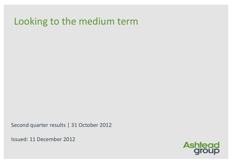# Looking to the medium term

Second quarter results | 31 October 2012

Issued: 11 December 2012

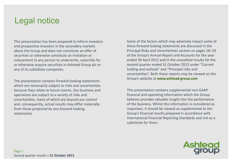# Legal notice

This presentation has been prepared to inform investors and prospective investors in the secondary markets about the Group and does not constitute an offer of securities or otherwise constitute an invitation or inducement to any person to underwrite, subscribe for or otherwise acquire securities in Ashtead Group plc or any of its subsidiary companies.

The presentation contains forward looking statements which are necessarily subject to risks and uncertainties because they relate to future events. Our business and operations are subject to <sup>a</sup> variety of risks and uncertainties, many of which are beyond our control and, consequently, actual results may differ materially from those projected by any forward looking statements.

Some of the factors which may adversely impact some of these forward looking statements are discussed in the Principal Risks and Uncertainties section on pages 18–19 of the Group's Annual Report and Accounts for the year ended 30 April 2012 and in the unaudited results for the second quarter ended 31 October 2012 under "Current trading and outlook" and "Principal risks and uncertainties". Both these reports may be viewed on the Group's website at **www.ashtead‐group.com**

This presentation contains supplemental non‐GAAP financial and operating information which the Group believes provides valuable insight into the performance of the business. Whilst this information is considered as important, it should be viewed as supplemental to the Group's financial results prepared in accordance with International Financial Reporting Standards and not as <sup>a</sup> substitute for them.

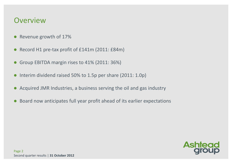#### **Overview**

- $\bullet$ Revenue growth of 17%
- $\bullet$ Record H1 pre-tax profit of £141m (2011: £84m)
- $\bullet$ Group EBITDA margin rises to 41% (2011: 36%)
- $\bullet$ • Interim dividend raised 50% to 1.5p per share (2011: 1.0p)
- $\bullet$ Acquired JMR Industries, <sup>a</sup> business serving the oil and gas industry
- $\bullet$ Board now anticipates full year profit ahead of its earlier expectations

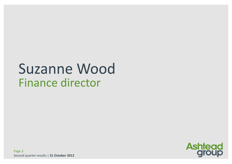# **Suzanne Wood Finance director**

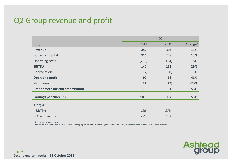#### Q2 Group revenue and profit

|                                           | Q <sub>2</sub> |       |                     |  |  |
|-------------------------------------------|----------------|-------|---------------------|--|--|
| (fm)                                      | 2012           | 2011  | Change <sup>1</sup> |  |  |
| <b>Revenue</b>                            | 356            | 307   | 16%                 |  |  |
| - of which rental                         | 316            | 273   | 15%                 |  |  |
| <b>Operating costs</b>                    | (209)          | (194) | 8%                  |  |  |
| <b>EBITDA</b>                             | 147            | 113   | 29%                 |  |  |
| Depreciation                              | (57)           | (50)  | 15%                 |  |  |
| <b>Operating profit</b>                   | 90             | 63    | 41%                 |  |  |
| Net interest                              | (11)           | (12)  | $-20%$              |  |  |
| <b>Profit before tax and amortisation</b> | 79             | 51    | 56%                 |  |  |
| Earnings per share (p)                    | 10.0           | 6.4   | 53%                 |  |  |
| <b>Margins</b>                            |                |       |                     |  |  |
| - EBITDA                                  | 41%            | 37%   |                     |  |  |
| - Operating profit                        | 25%            | 21%   |                     |  |  |

*1 At constant exchange rates*

 $^2$  The results in the table above are the Group's underlying results and are stated before exceptionals, intangible amortisation and fair value remeasurements

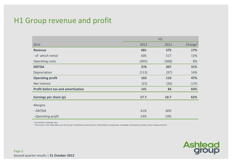#### H1 Group revenue and profit

|                                           | H1    |            |                     |  |  |
|-------------------------------------------|-------|------------|---------------------|--|--|
| (fm)                                      | 2012  | 2011       | Change <sup>1</sup> |  |  |
| <b>Revenue</b>                            | 681   | 575        | 17%                 |  |  |
| - of which rental                         | 605   | 517        | 15%                 |  |  |
| <b>Operating costs</b>                    | (405) | (368)      | 8%                  |  |  |
| <b>EBITDA</b>                             | 276   | 207        | 31%                 |  |  |
| Depreciation                              | (113) | (97)       | 14%                 |  |  |
| <b>Operating profit</b>                   | 163   | <b>110</b> | 47%                 |  |  |
| Net interest                              | (22)  | (26)       | $-11%$              |  |  |
| <b>Profit before tax and amortisation</b> | 141   | 84         | 64%                 |  |  |
| Earnings per share (p)                    | 17.7  | 10.7       | 62%                 |  |  |
| <b>Margins</b>                            |       |            |                     |  |  |
| - EBITDA                                  | 41%   | 36%        |                     |  |  |
| - Operating profit                        | 24%   | 19%        |                     |  |  |

*1 At constant exchange rates*

 $^2$  The results in the table above are the Group's underlying results and are stated before exceptionals, intangible amortisation and fair value remeasurements

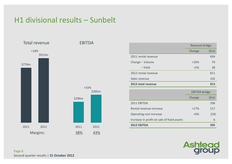## H1 divisional results – Sunbelt



|                     | Revenue bridge |       |  |
|---------------------|----------------|-------|--|
|                     | Change         | (\$m) |  |
| 2011 rental revenue |                | 694   |  |
| Change - Volume     | $+10%$         | 79    |  |
| – Yield             | $+5%$          | 38    |  |
| 2012 rental revenue |                | 811   |  |
| Sales revenue       |                | 102   |  |
| 2012 total revenue  |                | 913   |  |

|                                            | <b>EBITDA</b> bridge |       |  |
|--------------------------------------------|----------------------|-------|--|
|                                            | Change               | (\$m) |  |
| 2011 EBITDA                                |                      | 296   |  |
| Rental revenue increase                    | $+17%$               | 117   |  |
| Operating cost increase                    | $+6%$                | (24)  |  |
| Increase in profit on sale of fixed assets |                      | 6     |  |
| 2012 EBITDA                                |                      | 395   |  |

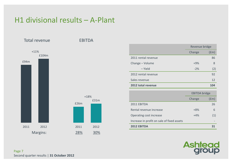### H1 divisional results – A‐Plant



|                     | Revenue bridge |      |  |
|---------------------|----------------|------|--|
|                     | Change         | (£m) |  |
| 2011 rental revenue |                | 86   |  |
| Change - Volume     | $+9%$          | 8    |  |
| – Yield             | $-2%$          | (2)  |  |
| 2012 rental revenue |                | 92   |  |
| Sales revenue       |                | 12   |  |
| 2012 total revenue  |                | 104  |  |

|                                            | <b>EBITDA</b> bridge |      |  |
|--------------------------------------------|----------------------|------|--|
|                                            | Change               | (£m) |  |
| 2011 EBITDA                                |                      | 26   |  |
| Rental revenue increase                    | $+8%$                | 6    |  |
| Operating cost increase                    | $+4%$                | (1)  |  |
| Increase in profit on sale of fixed assets |                      |      |  |
| 2012 EBITDA                                |                      |      |  |

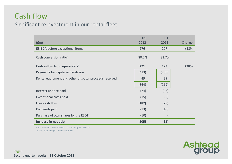## Cash flow

#### Significant reinvestment in our rental fleet

| (fm)                                                  | H1<br>2012 | H1<br>2011               | Change |
|-------------------------------------------------------|------------|--------------------------|--------|
| EBITDA before exceptional items                       | 276        | 207                      | $+33%$ |
| Cash conversion ratio <sup>1</sup>                    | 80.2%      | 83.7%                    |        |
| Cash inflow from operations <sup>2</sup>              | 221        | 173                      | $+28%$ |
| Payments for capital expenditure                      | (413)      | (258)                    |        |
| Rental equipment and other disposal proceeds received | 49         | 39                       |        |
|                                                       | (364)      | (219)                    |        |
| Interest and tax paid                                 | (24)       | (27)                     |        |
| <b>Exceptional costs paid</b>                         | (15)       | (2)                      |        |
| Free cash flow                                        | (182)      | (75)                     |        |
| Dividends paid                                        | (13)       | (10)                     |        |
| Purchase of own shares by the ESOT                    | (10)       | $\overline{\phantom{a}}$ |        |
| Increase in net debt                                  | (205)      | (85)                     |        |

<sup>1</sup> Cash inflow from operations as a percentage of EBITDA

<sup>2</sup> Before fleet changes and exceptionals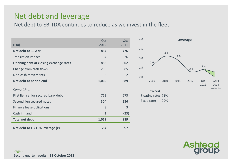## Net debt and leverage

Net debt to EBITDA continues to reduce as we invest in the fleet

| (fm)                                   | Oct<br>2012 | Oct<br>2011    |
|----------------------------------------|-------------|----------------|
| <b>Net debt at 30 April</b>            | 854         | 776            |
| <b>Translation impact</b>              | 4           | 26             |
| Opening debt at closing exchange rates | 858         | 802            |
| Change from cash flows                 | 205         | 85             |
| Non-cash movements                     | 6           | $\overline{2}$ |
| Net debt at period end                 | 1,069       | 889            |
| Comprising:                            |             |                |
| First lien senior secured bank debt    | 763         | 573            |
| Second lien secured notes              | 304         | 336            |
| Finance lease obligations              | 3           | 3              |
| Cash in hand                           | (1)         | (23)           |
| <b>Total net debt</b>                  | 1,069       | 889            |
| Net debt to EBITDA leverage (x)        | 2.4         | 2.7            |



Fixed rate: 29%

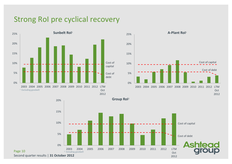#### Strong RoI pre cyclical recovery



Page 10



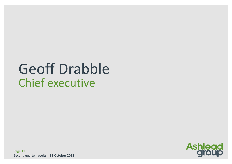# **Geoff Drabble Chief executive**

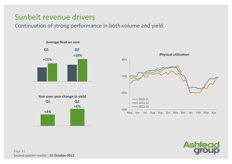## Sunbelt revenue drivers

Continuation of strong performance in both volume and yield







Page 12 Second quarter results | **31 October 2012**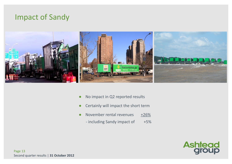#### Impact of Sandy



- ●No impact in Q2 reported results
- ●Certainly will impact the short term
- ●November rental revenues  $+26%$ 
	- including Sandy impact of  $+5%$

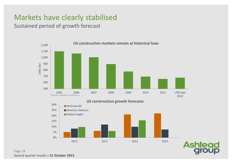# Markets have clearly stabilised

Sustained period of growth forecast



#### Page 14 Second quarter results | **31 October 2012**

**Ashter**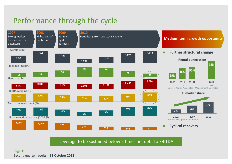# Performance through the cycle



Leverage to be sustained below 2 times net debt to EBITDA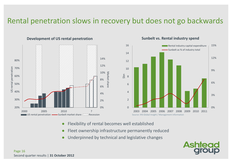## Rental penetration slows in recovery but does not go backwards



**Development of US rental penetration**

#### **Sunbelt vs. Rental industry spend**



- ●Flexibility of rental becomes well established
- ●Fleet ownership infrastructure permanently reduced
- ●Underpinned by technical and legislative changes

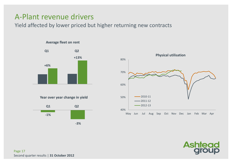#### A‐Plant revenue drivers

Yield affected by lower priced but higher returning new contracts

#### **Average fleet on rent**



**Year over year change in yield**





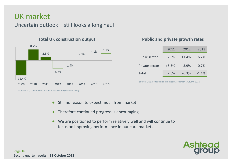#### UK market

Uncertain outlook – still looks <sup>a</sup> long haul



#### **Total UK**

#### **construction output Public and private growth rates**

|                      | 2011     | 2012     | 2013    |
|----------------------|----------|----------|---------|
| <b>Public sector</b> | $-2.6\%$ | $-11.4%$ | $-6.2%$ |
| Private sector       | $+5.3%$  | $-3.9%$  | $+0.7%$ |
| <b>Total</b>         | 2.6%     | $-6.3%$  | $-1.4%$ |

Source: ONS, Construction Products Association (Autumn 2012)

Source: ONS, Construction Products Association (Autumn 2012)

- $\bullet$ Still no reason to expect much from market
- Therefore continued progress is encouraging
- ● We are positioned to perform relatively well and will continue to focus on improving performance in our core markets

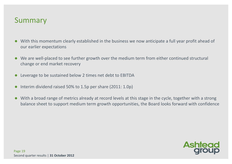#### Summary

- $\bullet$  With this momentum clearly established in the business we now anticipate <sup>a</sup> full year profit ahead of our earlier expectations
- We are well-placed to see further growth over the medium term from either continued structural change or end market recovery
- $\bullet$ Leverage to be sustained below 2 times net debt to EBITDA
- $\bullet$ • Interim dividend raised 50% to 1.5p per share (2011: 1.0p)
- $\bullet$  With <sup>a</sup> broad range of metrics already at record levels at this stage in the cycle, together with <sup>a</sup> strong balance sheet to support medium term growth opportunities, the Board looks forward with confidence

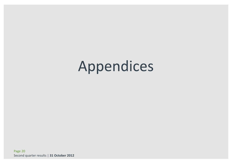# Appendices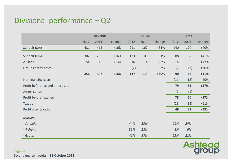# Divisional performance – Q2

|                                    | Revenue                  |                          |        |      | <b>EBITDA</b> |        |                | Profit       |        |  |
|------------------------------------|--------------------------|--------------------------|--------|------|---------------|--------|----------------|--------------|--------|--|
|                                    | 2012                     | 2011                     | change | 2012 | 2011          | change | 2012           | 2011         | change |  |
| Sunbelt (\$m)                      | 481                      | 415                      | $+16%$ | 211  | 162           | $+31%$ | 140            | 100          | $+40%$ |  |
| Sunbelt (£m)                       | 302                      | 259                      | $+16%$ | 133  | 101           | $+31%$ | 88             | 62           | $+41%$ |  |
| A-Plant                            | 54                       | 48                       | $+13%$ | 16   | 14            | $+22%$ | $\overline{4}$ | $\mathbf{3}$ | $+47%$ |  |
| Group central costs                | $\overline{\phantom{a}}$ | $\overline{\phantom{0}}$ |        | (2)  | (2)           | $+37%$ | (2)            | (2)          | $+36%$ |  |
|                                    | 356                      | 307                      | $+16%$ | 147  | 113           | $+30%$ | 90             | 63           | $+41%$ |  |
| Net financing costs                |                          |                          |        |      |               |        | (11)           | (12)         | $-20%$ |  |
| Profit before tax and amortisation |                          |                          |        |      |               |        | 79             | 51           | $+57%$ |  |
| Amortisation                       |                          |                          |        |      |               |        | (1)            | (1)          |        |  |
| Profit before taxation             |                          |                          |        |      |               |        | 78             | 50           | $+57%$ |  |
| Taxation                           |                          |                          |        |      |               |        | (29)           | (18)         | $+61%$ |  |
| Profit after taxation              |                          |                          |        |      |               |        | 49             | 32           | $+55%$ |  |
| <b>Margins</b>                     |                          |                          |        |      |               |        |                |              |        |  |
| - Sunbelt                          |                          |                          |        | 44%  | 39%           |        | 29%            | 24%          |        |  |
| - A-Plant                          |                          |                          |        | 31%  | 28%           |        | 8%             | 6%           |        |  |
| - Group                            |                          |                          |        | 41%  | 37%           |        | 25%            | 21%          |        |  |

Ashtead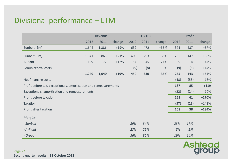# Divisional performance – LTM

|                                                                  | Revenue |                          |        |      | <b>EBITDA</b> |        | Profit         |                |         |  |
|------------------------------------------------------------------|---------|--------------------------|--------|------|---------------|--------|----------------|----------------|---------|--|
|                                                                  | 2012    | 2011                     | change | 2012 | 2011          | change | 2012           | 2011           | change  |  |
| Sunbelt (\$m)                                                    | 1,644   | 1,386                    | $+19%$ | 639  | 472           | $+35%$ | 371            | 237            | $+57%$  |  |
| Sunbelt (£m)                                                     | 1,041   | 863                      | $+21%$ | 405  | 293           | +38%   | 235            | 147            | $+60%$  |  |
| A-Plant                                                          | 199     | 177                      | $+12%$ | 54   | 45            | $+21%$ | $\overline{9}$ | $\overline{4}$ | $+147%$ |  |
| Group central costs                                              |         | $\overline{\phantom{a}}$ |        | (9)  | (8)           | $+16%$ | (9)            | (8)            | $+14%$  |  |
|                                                                  | 1,240   | 1,040                    | $+19%$ | 450  | 330           | +36%   | 235            | 143            | $+65%$  |  |
| Net financing costs                                              |         |                          |        |      |               |        | (48)           | (58)           | $-16%$  |  |
| Profit before tax, exceptionals, amortisation and remeasurements |         |                          |        |      |               |        | 187            | 85             | $+119$  |  |
| Exceptionals, amortisation and remeasurements                    |         |                          |        |      |               |        | (22)           | (24)           | $-10%$  |  |
| Profit before taxation                                           |         |                          |        |      |               |        | 165            | 61             | +170%   |  |
| Taxation                                                         |         |                          |        |      |               |        | (57)           | (23)           | $+148%$ |  |
| Profit after taxation                                            |         |                          |        |      |               |        | 108            | 38             | $+184%$ |  |
| <b>Margins</b>                                                   |         |                          |        |      |               |        |                |                |         |  |
| - Sunbelt                                                        |         |                          |        | 39%  | 34%           |        | 23%            | 17%            |         |  |
| - A-Plant                                                        |         |                          |        | 27%  | 25%           |        | 5%             | 2%             |         |  |
| - Group                                                          |         |                          |        | 36%  | 32%           |        | 19%            | 14%            |         |  |



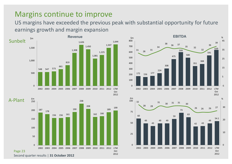#### Margins continue to improve

US margins have exceeded the previous peak with substantial opportunity for future earnings growth and margin expansion



A‐Plant

Page 23





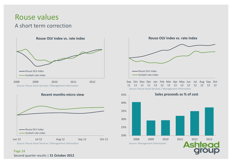## Rouse values

#### A short term correction







**Rouse OLV index vs. rate index**



Source: Rouse Asset Services / Management information Source: Management information Source: Management information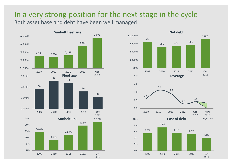#### In <sup>a</sup> very strong position for the next stage in the cycle Both asset base and debt have been well managed



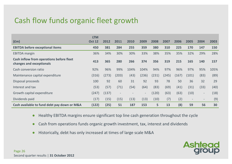# Cash flow funds organic fleet growth

|                                                                      | <b>LTM</b>    |       |                          |                          |                   |       |       |       |                          |                          |      |
|----------------------------------------------------------------------|---------------|-------|--------------------------|--------------------------|-------------------|-------|-------|-------|--------------------------|--------------------------|------|
| f(m)                                                                 | <b>Oct 12</b> | 2012  | 2011                     | 2010                     | 2009              | 2008  | 2007  | 2006  | 2005                     | 2004                     | 2003 |
| <b>EBITDA before exceptional items</b>                               | 450           | 381   | 284                      | 255                      | 359               | 380   | 310   | 225   | 170                      | 147                      | 150  |
| <b>EBITDA</b> margin                                                 | 36%           | 34%   | 30%                      | 30%                      | 33%               | 38%   | 35%   | 35%   | 32%                      | 29%                      | 28%  |
| Cash inflow from operations before fleet<br>changes and exceptionals | 413           | 365   | 280                      | 266                      | 374               | 356   | 319   | 215   | 165                      | 140                      | 157  |
| Cash conversion ratio                                                | 92%           | 96%   | 99%                      | 104%                     | 104%              | 94%   | 97%   | 96%   | 97%                      | 95%                      | 105% |
| Maintenance capital expenditure                                      | (316)         | (273) | (203)                    | (43)                     | (236)             | (231) | (245) | (167) | (101)                    | (83)                     | (89) |
| Disposal proceeds                                                    | 100           | 92    | 60                       | 31                       | 92                | 93    | 78    | 50    | 36                       | 32                       | 29   |
| Interest and tax                                                     | (53)          | (57)  | (71)                     | (54)                     | (64)              | (83)  | (69)  | (41)  | (31)                     | (33)                     | (40) |
| Growth capital expenditure                                           | (247)         | (137) | $\overline{\phantom{a}}$ | $\overline{\phantom{0}}$ | $\qquad \qquad -$ | (120) | (63)  | (63)  | (10)                     | $\overline{\phantom{a}}$ | (18) |
| Dividends paid                                                       | (17)          | (15)  | (15)                     | (13)                     | (13)              | (10)  | (7)   | (2)   | $\overline{\phantom{a}}$ | $\overline{\phantom{a}}$ | (9)  |
| Cash available to fund debt pay down or M&A                          | (122)         | (25)  | 51                       | 187                      | 153               | 5     | 13    | (8)   | 59                       | 56                       | 30   |

- ●Healthy EBITDA margins ensure significant top line cash generation throughout the cycle
- ●Cash from operations funds organic growth investment, tax, interest and dividends
- ●Historically, debt has only increased at times of large scale M&A

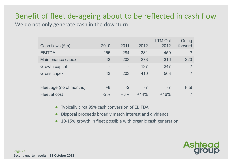# Benefit of fleet de‐ageing about to be reflected in cash flow

We do not only generate cash in the downturn

| Cash flows (£m)          | 2010   | 2011  | 2012   | <b>LTM Oct</b><br>2012 | Going<br>forward |
|--------------------------|--------|-------|--------|------------------------|------------------|
|                          |        |       |        |                        |                  |
| <b>EBITDA</b>            | 255    | 284   | 381    | 450                    | $\mathcal{P}$    |
| Maintenance capex        | 43     | 203   | 273    | 316                    | 220              |
| Growth capital           |        |       | 137    | 247                    | $\mathcal{P}$    |
| Gross capex              | 43     | 203   | 410    | 563                    | $\mathcal{P}$    |
|                          |        |       |        |                        |                  |
| Fleet age (no of months) | $+8$   | $-2$  | $-7$   | $-7$                   | Flat             |
| Fleet at cost            | $-2\%$ | $+3%$ | $+14%$ | $+16%$                 | $\mathcal{P}$    |

●Typically circa 95% cash conversion of EBITDA

- ●Disposal proceeds broadly match interest and dividends
- ●● 10-15% growth in fleet possible with organic cash generation

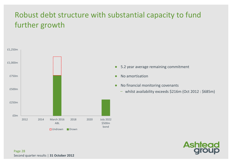# Robust debt structure with substantial capacity to fund further growth



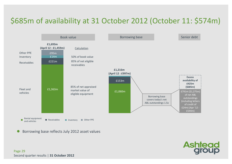# \$685m of availability at 31 October 2012 (October 11: \$574m)



 $\bullet$ Borrowing base reflects July 2012 asset values